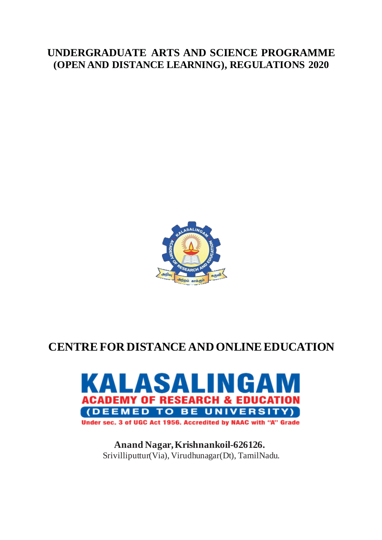# **UNDERGRADUATE ARTS AND SCIENCE PROGRAMME (OPEN AND DISTANCE LEARNING), REGULATIONS 2020**



# **CENTRE FOR DISTANCE AND ONLINEEDUCATION**



**Anand Nagar, Krishnankoil-626126.** Srivilliputtur(Via), Virudhunagar(Dt), TamilNadu.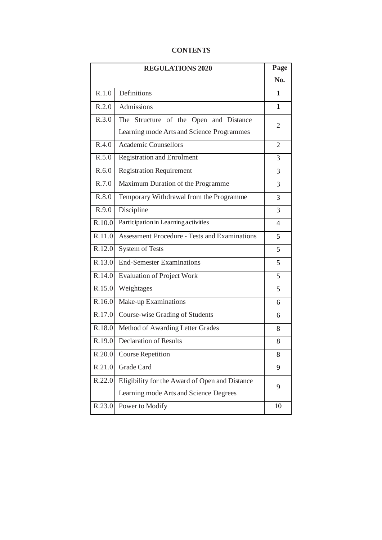# **CONTENTS**

|                      | <b>REGULATIONS 2020</b>                              | Page                     |
|----------------------|------------------------------------------------------|--------------------------|
|                      |                                                      | No.                      |
| R.1.0                | Definitions                                          | 1                        |
| R.2.0                | Admissions                                           | 1                        |
| $\overline{R}.3.0$   | The Structure of the Open and Distance               | 2                        |
|                      | Learning mode Arts and Science Programmes            |                          |
| R.4.0                | <b>Academic Counsellors</b>                          | $\overline{2}$           |
| R.5.0                | <b>Registration and Enrolment</b>                    | 3                        |
| R.6.0                | <b>Registration Requirement</b>                      | 3                        |
| R.7.0                | Maximum Duration of the Programme                    | 3                        |
| R.8.0                | Temporary Withdrawal from the Programme              | 3                        |
| R.9.0                | Discipline                                           | 3                        |
| R.10.0               | Participation in Learning activities                 | $\overline{\mathcal{A}}$ |
| R.11.0               | <b>Assessment Procedure - Tests and Examinations</b> | 5                        |
| R.12.0               | <b>System of Tests</b>                               | 5                        |
| R.13.0               | <b>End-Semester Examinations</b>                     | 5                        |
| R.14.0               | <b>Evaluation of Project Work</b>                    | 5                        |
| $\overline{R}$ .15.0 | Weightages                                           | 5                        |
| R.16.0               | Make-up Examinations                                 | 6                        |
| R.17.0               | Course-wise Grading of Students                      | 6                        |
| R.18.0               | Method of Awarding Letter Grades                     | 8                        |
| R.19.0               | <b>Declaration of Results</b>                        | 8                        |
| R.20.0               | <b>Course Repetition</b>                             | 8                        |
| R.21.0               | Grade Card                                           | 9                        |
| R.22.0               | Eligibility for the Award of Open and Distance       |                          |
|                      | Learning mode Arts and Science Degrees               | 9                        |
| R.23.0               | Power to Modify                                      | 10                       |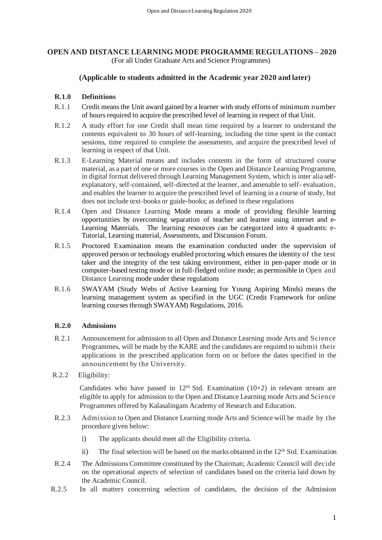# **OPEN AND DISTANCE LEARNING MODE PROGRAMME REGULATIONS – 2020** (For all Under Graduate Arts and Science Programmes)

# **(Applicable to students admitted in the Academic year 2020 and later)**

# **R.1.0 Definitions**

- R.1.1 Credit means the Unit award gained by a learner with study efforts of minimum number of hours required to acquire the prescribed level of learning in respect of that Unit.
- R.1.2 A study effort for one Credit shall mean time required by a learner to understand the contents equivalent to 30 hours of self-learning, including the time spent in the contact sessions, time required to complete the assessments, and acquire the prescribed level of learning in respect of that Unit.
- R.1.3 E-Learning Material means and includes contents in the form of structured course material, as a part of one or more courses in the Open and Distance Learning Programme, in digital format delivered through Learning Management System, which is inter alia selfexplanatory, self-contained, self-directed at the learner, and amenable to self- evaluation, and enables the learner to acquire the prescribed level of learning in a course of study, but does not include text-books or guide-books; as defined in these regulations
- R.1.4 Open and Distance Learning Mode means a mode of providing flexible learning opportunities by overcoming separation of teacher and learner using internet and e-Learning Materials. The learning resources can be categorized into 4 quadrants: e-Tutorial, Learning material, Assessments, and Discussion Forum.
- R.1.5 Proctored Examination means the examination conducted under the supervision of approved person or technology enabled proctoring which ensures the identity of the test taker and the integrity of the test taking environment, either in pen-paper mode or in computer-based testing mode or in full-fledged online mode; as permissible in Open and Distance Learning mode under these regulations
- R.1.6 SWAYAM (Study Webs of Active Learning for Young Aspiring Minds) means the learning management system as specified in the UGC (Credit Framework for online learning courses through SWAYAM) Regulations, 2016.

# **R.2.0 Admissions**

- R.2.1 Announcement for admission to all Open and Distance Learning mode Arts and Science Programmes, will be made by the KARE and the candidates are required to submit their applications in the prescribed application form on or before the dates specified in the announcement by the University.
- R.2.2 Eligibility:

Candidates who have passed in  $12<sup>th</sup>$  Std. Examination (10+2) in relevant stream are eligible to apply for admission to the Open and Distance Learning mode Arts and Science Programmes offered by Kalasalingam Academy of Research and Education.

- R.2.3 Admission to Open and Distance Learning mode Arts and Science will be made by the procedure given below:
	- i) The applicants should meet all the Eligibility criteria.
	- ii) The final selection will be based on the marks obtained in the  $12<sup>th</sup>$  Std. Examination
- R.2.4 The Admissions Committee constituted by the Chairman; Academic Council will decide on the operational aspects of selection of candidates based on the criteria laid down by the Academic Council.
- R.2.5 In all matters concerning selection of candidates, the decision of the Admission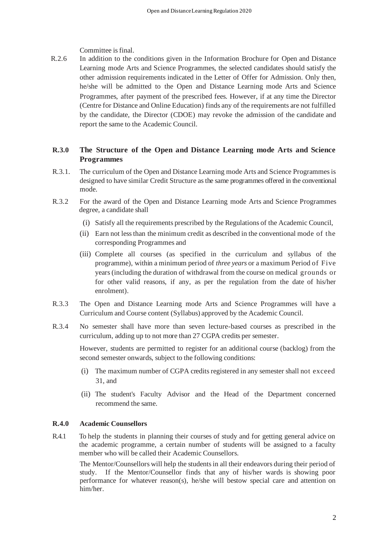Committee is final.

R.2.6 In addition to the conditions given in the Information Brochure for Open and Distance Learning mode Arts and Science Programmes, the selected candidates should satisfy the other admission requirements indicated in the Letter of Offer for Admission. Only then, he/she will be admitted to the Open and Distance Learning mode Arts and Science Programmes, after payment of the prescribed fees. However, if at any time the Director (Centre for Distance and Online Education) finds any of the requirements are not fulfilled by the candidate, the Director (CDOE) may revoke the admission of the candidate and report the same to the Academic Council.

# **R.3.0 The Structure of the Open and Distance Learning mode Arts and Science Programmes**

- R.3.1. The curriculum of the Open and Distance Learning mode Arts and Science Programmes is designed to have similar Credit Structure as the same programmes offered in the conventional mode.
- R.3.2 For the award of the Open and Distance Learning mode Arts and Science Programmes degree, a candidate shall
	- (i) Satisfy all the requirements prescribed by the Regulations of the Academic Council,
	- (ii) Earn not less than the minimum credit as described in the conventional mode of the corresponding Programmes and
	- (iii) Complete all courses (as specified in the curriculum and syllabus of the programme), within a minimum period of *three years* or a maximum Period of Five years (including the duration of withdrawal from the course on medical grounds or for other valid reasons, if any, as per the regulation from the date of his/her enrolment).
- R.3.3 The Open and Distance Learning mode Arts and Science Programmes will have a Curriculum and Course content (Syllabus) approved by the Academic Council.
- R.3.4 No semester shall have more than seven lecture-based courses as prescribed in the curriculum, adding up to not more than 27 CGPA credits per semester.

However, students are permitted to register for an additional course (backlog) from the second semester onwards, subject to the following conditions:

- (i) The maximum number of CGPA credits registered in any semester shall not exceed 31, and
- (ii) The student's Faculty Advisor and the Head of the Department concerned recommend the same.

#### **R.4.0 Academic Counsellors**

R.4.1 To help the students in planning their courses of study and for getting general advice on the academic programme, a certain number of students will be assigned to a faculty member who will be called their Academic Counsellors.

The Mentor/Counsellors will help the students in all their endeavors during their period of study. If the Mentor/Counsellor finds that any of his/her wards is showing poor performance for whatever reason(s), he/she will bestow special care and attention on him/her.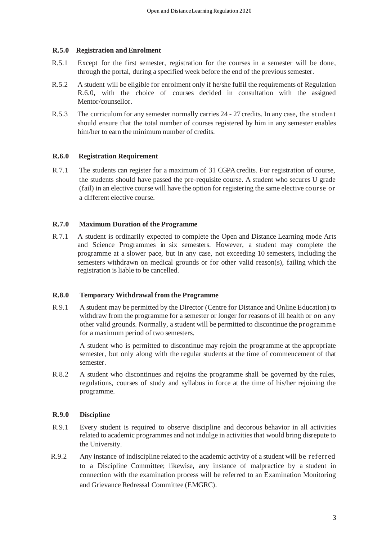### **R.5.0 Registration and Enrolment**

- R.5.1 Except for the first semester, registration for the courses in a semester will be done, through the portal, during a specified week before the end of the previous semester.
- R.5.2 A student will be eligible for enrolment only if he/she fulfil the requirements of Regulation R.6.0, with the choice of courses decided in consultation with the assigned Mentor/counsellor.
- R.5.3 The curriculum for any semester normally carries 24 27 credits. In any case, the student should ensure that the total number of courses registered by him in any semester enables him/her to earn the minimum number of credits.

# **R.6.0 Registration Requirement**

R.7.1 The students can register for a maximum of 31 CGPA credits. For registration of course, the students should have passed the pre-requisite course. A student who secures U grade (fail) in an elective course will have the option for registering the same elective course or a different elective course.

#### **R.7.0 Maximum Duration of the Programme**

R.7.1 A student is ordinarily expected to complete the Open and Distance Learning mode Arts and Science Programmes in six semesters. However, a student may complete the programme at a slower pace, but in any case, not exceeding 10 semesters, including the semesters withdrawn on medical grounds or for other valid reason(s), failing which the registration is liable to be cancelled.

#### **R.8.0 Temporary Withdrawal from the Programme**

R.9.1 A student may be permitted by the Director (Centre for Distance and Online Education) to withdraw from the programme for a semester or longer for reasons of ill health or on any other valid grounds. Normally, a student will be permitted to discontinue the programme for a maximum period of two semesters.

A student who is permitted to discontinue may rejoin the programme at the appropriate semester, but only along with the regular students at the time of commencement of that semester.

R.8.2 A student who discontinues and rejoins the programme shall be governed by the rules, regulations, courses of study and syllabus in force at the time of his/her rejoining the programme.

#### **R.9.0 Discipline**

- R.9.1 Every student is required to observe discipline and decorous behavior in all activities related to academic programmes and not indulge in activities that would bring disrepute to the University.
- R.9.2 Any instance of indiscipline related to the academic activity of a student will be referred to a Discipline Committee; likewise, any instance of malpractice by a student in connection with the examination process will be referred to an Examination Monitoring and Grievance Redressal Committee (EMGRC).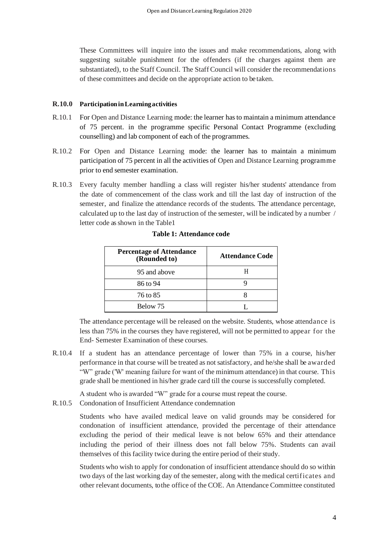These Committees will inquire into the issues and make recommendations, along with suggesting suitable punishment for the offenders (if the charges against them are substantiated), to the Staff Council. The Staff Council will consider the recommendations of these committees and decide on the appropriate action to be taken.

#### **R.10.0 Participation in Learning activities**

- R.10.1 For Open and Distance Learning mode: the learner has to maintain a minimum attendance of 75 percent. in the programme specific Personal Contact Programme (excluding counselling) and lab component of each of the programmes.
- R.10.2 For Open and Distance Learning mode: the learner has to maintain a minimum participation of 75 percent in all the activities of Open and Distance Learning programme prior to end semester examination.
- R.10.3 Every faculty member handling a class will register his/her students' attendance from the date of commencement of the class work and till the last day of instruction of the semester, and finalize the attendance records of the students. The attendance percentage, calculated up to the last day of instruction of the semester, will be indicated by a number / letter code as shown in the Table1

| <b>Percentage of Attendance</b><br>(Rounded to) | <b>Attendance Code</b> |
|-------------------------------------------------|------------------------|
| 95 and above                                    |                        |
| 86 to 94                                        |                        |
| 76 to 85                                        |                        |
| Below 75                                        |                        |

#### **Table 1: Attendance code**

The attendance percentage will be released on the website. Students, whose attendance is less than 75% in the courses they have registered, will not be permitted to appear for the End- Semester Examination of these courses.

- R.10.4 If a student has an attendance percentage of lower than 75% in a course, his/her performance in that course will be treated as not satisfactory, and he/she shall be awarded "W" grade ('W' meaning failure for want of the minimum attendance) in that course. This grade shall be mentioned in his/her grade card till the course is successfully completed.
- A student who is awarded "W" grade for a course must repeat the course.
- R.10.5 Condonation of Insufficient Attendance condemnation

Students who have availed medical leave on valid grounds may be considered for condonation of insufficient attendance, provided the percentage of their attendance excluding the period of their medical leave is not below 65% and their attendance including the period of their illness does not fall below 75%. Students can avail themselves of this facility twice during the entire period of their study.

Students who wish to apply for condonation of insufficient attendance should do so within two days of the last working day of the semester, along with the medical certificates and other relevant documents, to the office of the COE. An Attendance Committee constituted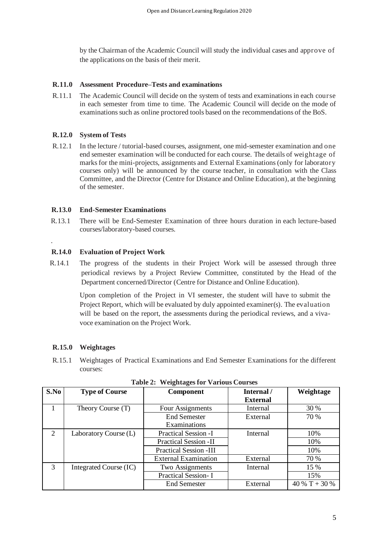by the Chairman of the Academic Council will study the individual cases and approve of the applications on the basis of their merit.

## **R.11.0 Assessment Procedure–Tests and examinations**

R.11.1 The Academic Council will decide on the system of tests and examinations in each course in each semester from time to time. The Academic Council will decide on the mode of examinations such as online proctored tools based on the recommendations of the BoS.

# **R.12.0 System of Tests**

R.12.1 In the lecture / tutorial-based courses, assignment, one mid-semester examination and one end semester examination will be conducted for each course. The details of weightage of marks for the mini-projects, assignments and External Examinations (only for laboratory courses only) will be announced by the course teacher, in consultation with the Class Committee, and the Director (Centre for Distance and Online Education), at the beginning of the semester.

# **R.13.0 End-Semester Examinations**

R.13.1 There will be End-Semester Examination of three hours duration in each lecture-based courses/laboratory-based courses.

# **R.14.0 Evaluation of Project Work**

 R.14.1 The progress of the students in their Project Work will be assessed through three periodical reviews by a Project Review Committee, constituted by the Head of the Department concerned/Director (Centre for Distance and Online Education).

> Upon completion of the Project in VI semester, the student will have to submit the Project Report, which will be evaluated by duly appointed examiner(s). The evaluation will be based on the report, the assessments during the periodical reviews, and a vivavoce examination on the Project Work.

# **R.15.0 Weightages**

.

R.15.1 Weightages of Practical Examinations and End Semester Examinations for the different courses:

| S.No           | <b>Type of Course</b>  | <b>Component</b>                    | Internal /      | Weightage     |
|----------------|------------------------|-------------------------------------|-----------------|---------------|
|                |                        |                                     | <b>External</b> |               |
|                | Theory Course (T)      | Four Assignments                    | Internal        | 30 %          |
|                |                        | <b>End Semester</b><br>Examinations | External        | 70 %          |
| $\overline{2}$ | Laboratory Course (L)  | <b>Practical Session -I</b>         | Internal        | 10%           |
|                |                        | <b>Practical Session -II</b>        |                 | 10%           |
|                |                        | <b>Practical Session -III</b>       |                 | 10%           |
|                |                        | <b>External Examination</b>         | External        | 70 %          |
| 3              | Integrated Course (IC) | Two Assignments<br>Internal         |                 | 15 %          |
|                |                        | <b>Practical Session-I</b>          |                 | 15%           |
|                |                        | <b>End Semester</b>                 | External        | 40 % T + 30 % |

| <b>Table 2: Weightages for Various Courses</b> |  |
|------------------------------------------------|--|
|                                                |  |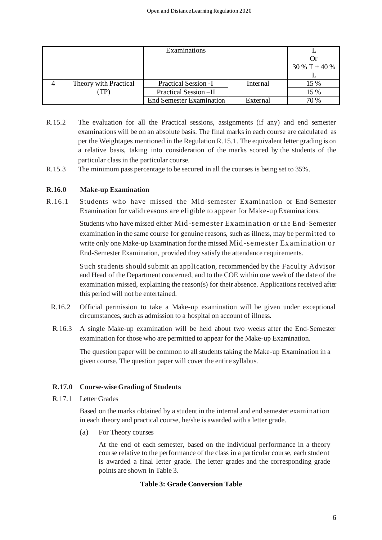|                       | Examinations                    |          |                 |
|-----------------------|---------------------------------|----------|-----------------|
|                       |                                 |          |                 |
|                       |                                 |          | $30\%$ T + 40 % |
|                       |                                 |          |                 |
| Theory with Practical | <b>Practical Session -I</b>     | Internal | 15 %            |
| (TP)                  | Practical Session-II            |          | 15 %            |
|                       | <b>End Semester Examination</b> | External | 70 %            |

- R.15.2 The evaluation for all the Practical sessions, assignments (if any) and end semester examinations will be on an absolute basis. The final marks in each course are calculated as per the Weightages mentioned in the Regulation R.15.1. The equivalent letter grading is on a relative basis, taking into consideration of the marks scored by the students of the particular class in the particular course.
- R.15.3 The minimum pass percentage to be secured in all the courses is being set to 35%.

# **R.16.0 Make-up Examination**

R.16.1 Students who have missed the Mid-semester Examination or End-Semester Examination for valid reasons are eligible to appear for Make-up Examinations.

> Students who have missed either Mid-semester Examination or the End-Semester examination in the same course for genuine reasons, such as illness, may be permitted to write only one Make-up Examination for the missed Mid-semester Examination or End-Semester Examination, provided they satisfy the attendance requirements.

> Such students should submit an application, recommended by the Faculty Advisor and Head of the Department concerned, and to the COE within one week of the date of the examination missed, explaining the reason(s) for their absence. Applications received after this period will not be entertained.

- R.16.2 Official permission to take a Make-up examination will be given under exceptional circumstances, such as admission to a hospital on account of illness.
- R.16.3 A single Make-up examination will be held about two weeks after the End-Semester examination for those who are permitted to appear for the Make-up Examination.

The question paper will be common to all students taking the Make-up Examination in a given course. The question paper will cover the entire syllabus.

#### **R.17.0 Course-wise Grading of Students**

R.17.1 Letter Grades

Based on the marks obtained by a student in the internal and end semester examination in each theory and practical course, he/she is awarded with a letter grade.

(a) For Theory courses

At the end of each semester, based on the individual performance in a theory course relative to the performance of the class in a particular course, each student is awarded a final letter grade. The letter grades and the corresponding grade points are shown in Table 3.

#### **Table 3: Grade Conversion Table**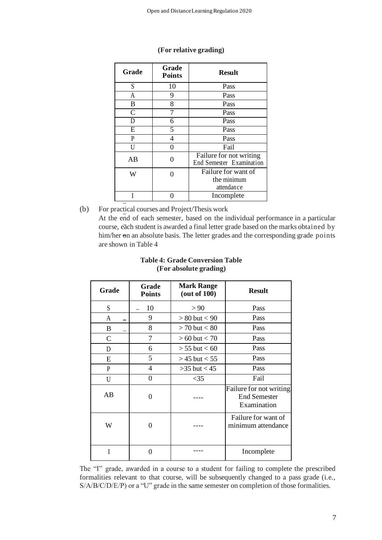| Grade         | Grade<br><b>Points</b> | <b>Result</b>                                       |  |
|---------------|------------------------|-----------------------------------------------------|--|
| S             | 10                     | Pass                                                |  |
| A             | 9                      | Pass                                                |  |
| B             | 8                      | Pass                                                |  |
| $\mathcal{C}$ | 7                      | Pass                                                |  |
| D             | 6                      | Pass                                                |  |
| E             | 5                      | Pass                                                |  |
| P             | 4                      | Pass                                                |  |
| U             | 0                      | Fail                                                |  |
| AВ            | ∩                      | Failure for not writing<br>End Semester Examination |  |
| W             |                        | Failure for want of<br>the minimum<br>attendance    |  |
|               |                        | Incomplete                                          |  |

# **(For relative grading)**

(b) For practical courses and Project/Thesis work

At the end of each semester, based on the individual performance in a particular course, each student is awarded a final letter grade based on the marks obtained by him/her on an absolute basis. The letter grades and the corresponding grade points are shown in Table 4

| Grade        | Grade<br><b>Points</b> | <b>Mark Range</b><br>(out of 100) | <b>Result</b>                                                 |
|--------------|------------------------|-----------------------------------|---------------------------------------------------------------|
| S            | 10                     | > 90                              | Pass                                                          |
| A            | 9                      | $> 80$ but $< 90$                 | Pass                                                          |
| B            | 8                      | $> 70$ but $< 80$                 | Pass                                                          |
| $\mathsf{C}$ | 7                      | $> 60$ but $< 70$                 | Pass                                                          |
| D            | 6                      | $> 55$ but $< 60$                 | Pass                                                          |
| E            | 5                      | $>$ 45 but $<$ 55                 | Pass                                                          |
| P            | 4                      | $>35$ but $< 45$                  | Pass                                                          |
| U            | 0                      | $<$ 35                            | Fail                                                          |
| AB           | 0                      |                                   | Failure for not writing<br><b>End Semester</b><br>Examination |
| W            | 0                      |                                   | Failure for want of<br>minimum attendance                     |
| I            | 0                      |                                   | Incomplete                                                    |

# **Table 4: Grade Conversion Table (For absolute grading)**

The "I" grade, awarded in a course to a student for failing to complete the prescribed formalities relevant to that course, will be subsequently changed to a pass grade (i.e., S/A/B/C/D/E/P) or a "U" grade in the same semester on completion of those formalities.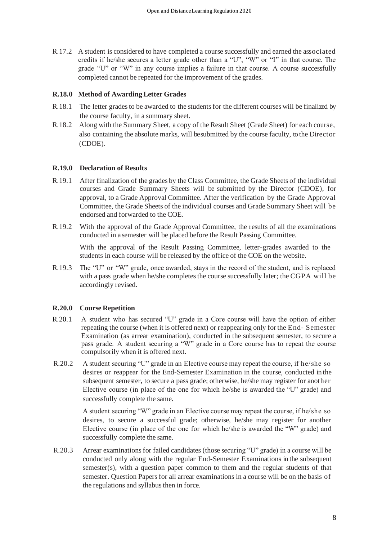R.17.2 A student is considered to have completed a course successfully and earned the associated credits if he/she secures a letter grade other than a "U", "W" or "I" in that course. The grade "U" or "W" in any course implies a failure in that course. A course successfully completed cannot be repeated for the improvement of the grades.

#### **R.18.0 Method of Awarding Letter Grades**

- R.18.1 The letter grades to be awarded to the students for the different courses will be finalized by the course faculty, in a summary sheet.
- R.18.2 Along with the Summary Sheet, a copy of the Result Sheet (Grade Sheet) for each course, also containing the absolute marks, will be submitted by the course faculty, to the Director (CDOE).

#### **R.19.0 Declaration of Results**

- R.19.1 After finalization of the grades by the Class Committee, the Grade Sheets of the individual courses and Grade Summary Sheets will be submitted by the Director (CDOE), for approval, to a Grade Approval Committee. After the verification by the Grade Approval Committee, the Grade Sheets of the individual courses and Grade Summary Sheet will be endorsed and forwarded to the COE.
- R.19.2 With the approval of the Grade Approval Committee, the results of all the examinations conducted in a semester will be placed before the Result Passing Committee.

With the approval of the Result Passing Committee, letter-grades awarded to the students in each course will be released by the office of the COE on the website.

R.19.3 The "U" or "W" grade, once awarded, stays in the record of the student, and is replaced with a pass grade when he/she completes the course successfully later; the CGPA will be accordingly revised.

#### **R.20.0 Course Repetition**

- R.20.1 A student who has secured "U" grade in a Core course will have the option of either repeating the course (when it is offered next) or reappearing only for the End- Semester Examination (as arrear examination), conducted in the subsequent semester, to secure a pass grade. A student securing a "W" grade in a Core course has to repeat the course compulsorily when it is offered next.
- R.20.2 A student securing "U" grade in an Elective course may repeat the course, if he/she so desires or reappear for the End-Semester Examination in the course, conducted in the subsequent semester, to secure a pass grade; otherwise, he/she may register for another Elective course (in place of the one for which he/she is awarded the "U" grade) and successfully complete the same.

A student securing "W" grade in an Elective course may repeat the course, if he/she so desires, to secure a successful grade; otherwise, he/she may register for another Elective course (in place of the one for which he/she is awarded the "W" grade) and successfully complete the same.

R.20.3 Arrear examinations for failed candidates (those securing "U" grade) in a course will be conducted only along with the regular End-Semester Examinations in the subsequent semester(s), with a question paper common to them and the regular students of that semester. Question Papers for all arrear examinations in a course will be on the basis of the regulations and syllabus then in force.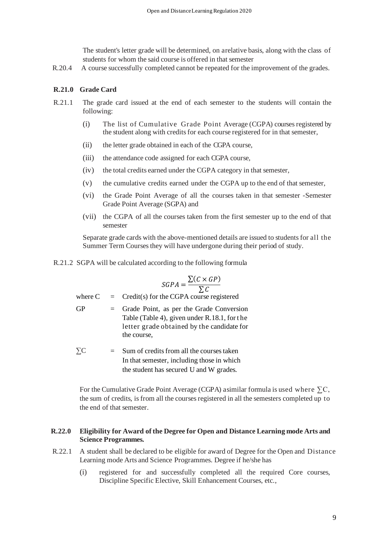The student's letter grade will be determined, on a relative basis, along with the class of students for whom the said course is offered in that semester

R.20.4 A course successfully completed cannot be repeated for the improvement of the grades.

## **R.21.0 Grade Card**

- R.21.1 The grade card issued at the end of each semester to the students will contain the following:
	- (i) The list of Cumulative Grade Point Average (CGPA) coursesregistered by the student along with credits for each course registered for in that semester,
	- (ii) the letter grade obtained in each of the CGPA course,
	- (iii) the attendance code assigned for each CGPA course,
	- (iv) the total credits earned under the CGPA category in that semester,
	- (v) the cumulative credits earned under the CGPA up to the end of that semester,
	- (vi) the Grade Point Average of all the courses taken in that semester -Semester Grade Point Average (SGPA) and
	- (vii) the CGPA of all the courses taken from the first semester up to the end of that semester

Separate grade cards with the above-mentioned details are issued to students for all the Summer Term Courses they will have undergone during their period of study.

R.21.2 SGPA will be calculated according to the following formula

$$
SGPA = \frac{\sum (C \times GP)}{\sum C}
$$

where  $C = C$  redit(s) for the CGPA course registered

- $GP =$  Grade Point, as per the Grade Conversion Table (Table 4), given under R.18.1, for the letter grade obtained by the candidate for the course,
- $\sum C$  = Sum of credits from all the courses taken In that semester, including those in which the student has secured U and W grades.

For the Cumulative Grade Point Average (CGPA) a similar formula is used where  $\Sigma C$ , the sum of credits, is from all the courses registered in all the semesters completed up to the end of that semester.

#### **R.22.0 Eligibility for Award of the Degree for Open and Distance Learning mode Arts and Science Programmes.**

- R.22.1 A student shall be declared to be eligible for award of Degree for the Open and Distance Learning mode Arts and Science Programmes. Degree if he/she has
	- (i) registered for and successfully completed all the required Core courses, Discipline Specific Elective, Skill Enhancement Courses, etc.,